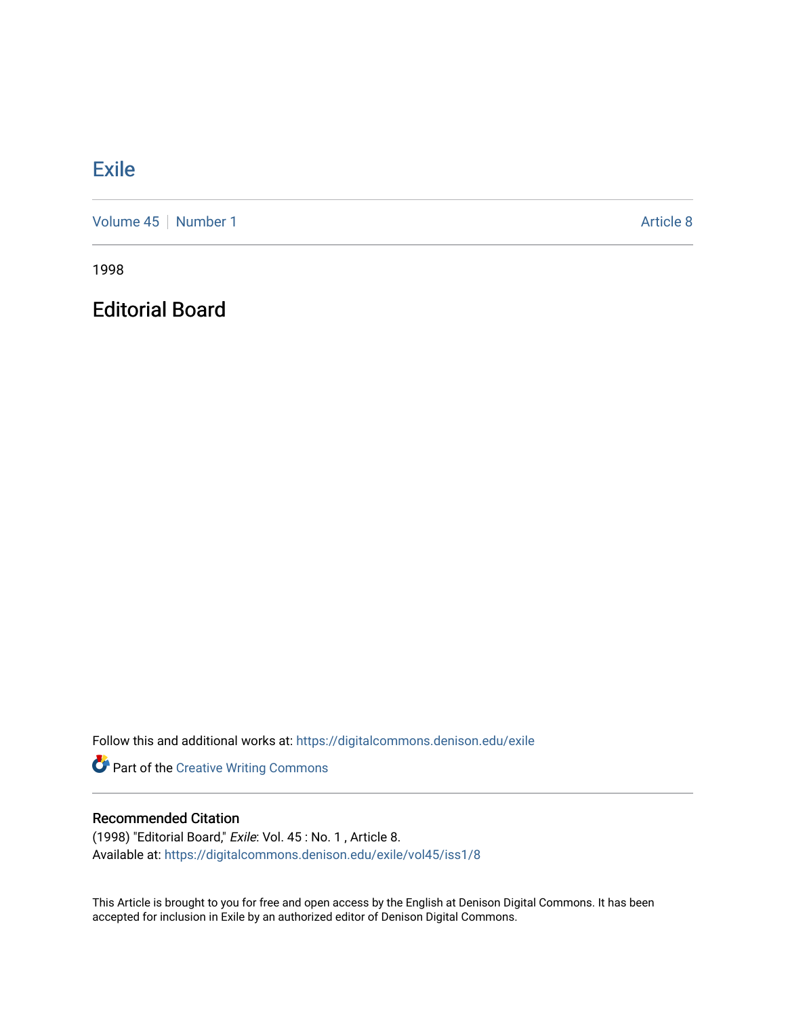# **[Exile](https://digitalcommons.denison.edu/exile)**

[Volume 45](https://digitalcommons.denison.edu/exile/vol45) | [Number 1](https://digitalcommons.denison.edu/exile/vol45/iss1) Article 8

1998

Editorial Board

Follow this and additional works at: [https://digitalcommons.denison.edu/exile](https://digitalcommons.denison.edu/exile?utm_source=digitalcommons.denison.edu%2Fexile%2Fvol45%2Fiss1%2F8&utm_medium=PDF&utm_campaign=PDFCoverPages) 

Part of the [Creative Writing Commons](http://network.bepress.com/hgg/discipline/574?utm_source=digitalcommons.denison.edu%2Fexile%2Fvol45%2Fiss1%2F8&utm_medium=PDF&utm_campaign=PDFCoverPages) 

### Recommended Citation

(1998) "Editorial Board," Exile: Vol. 45 : No. 1 , Article 8. Available at: [https://digitalcommons.denison.edu/exile/vol45/iss1/8](https://digitalcommons.denison.edu/exile/vol45/iss1/8?utm_source=digitalcommons.denison.edu%2Fexile%2Fvol45%2Fiss1%2F8&utm_medium=PDF&utm_campaign=PDFCoverPages) 

This Article is brought to you for free and open access by the English at Denison Digital Commons. It has been accepted for inclusion in Exile by an authorized editor of Denison Digital Commons.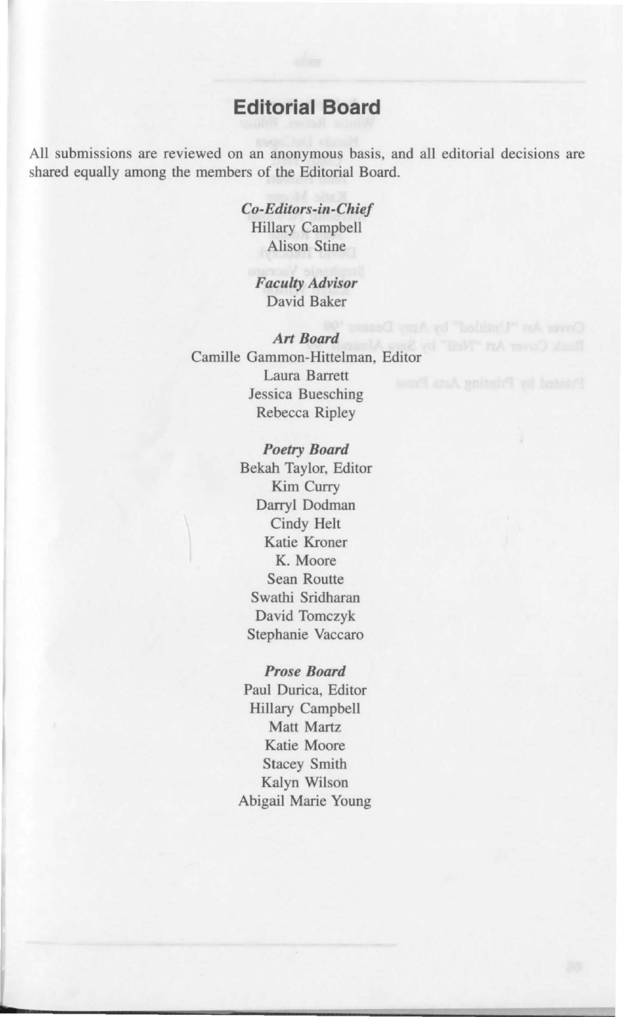## **Editorial Board**

All submissions are reviewed on an anonymous basis, and all editorial decisions are shared equally among the members of the Editorial Board.

> *Co-Editors-i11-Chief*  Hillary Campbell Alison Stine

*Faculty Advisor*  David Baker

*Art Board*  Camille Gammon-Hittelman, Editor Laura Barrett Jessica Buesching Rebecca Ripley

> *Poetry Board*  Bekah Taylor, Editor Kim Curry Darryl Dodman Cindy Helt Katie Kroner **K.** Moore Sean Routte Swathi Sridharan David Tomczyk Stephanie Vaccaro

### *Prose Board*

Paul Durica, Editor Hillary Campbell Matt Martz Katie Moore Stacey Smith Kalyn Wilson Abigail Marie Young